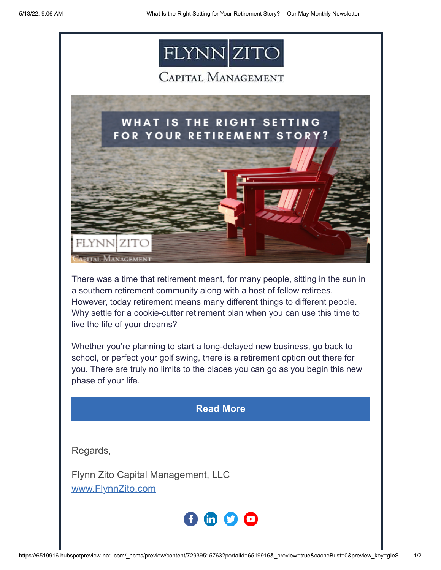





There was a time that retirement meant, for many people, sitting in the sun in a southern retirement community along with a host of fellow retirees. However, today retirement means many different things to different people. Why settle for a cookie-cutter retirement plan when you can use this time to live the life of your dreams?

Whether you're planning to start a long-delayed new business, go back to school, or perfect your golf swing, there is a retirement option out there for you. There are truly no limits to the places you can go as you begin this new phase of your life.

## **[Read More](https://www.flynnzito.com/blog/what-right-setting-your-retirement-story?utm_source=hs_email&utm_medium=email&_hsenc=p2ANqtz--XJj3djsfCZxJlxiRzZmCCNH8U8-gAOVZwWxqr2k61SYL-vVWwJhNVDdm0emM2RQWQhxdP)**

Regards,

Flynn Zito Capital Management, LLC [www.FlynnZito.com](https://www.flynnzito.com/?utm_source=hs_email&utm_medium=email&_hsenc=p2ANqtz--XJj3djsfCZxJlxiRzZmCCNH8U8-gAOVZwWxqr2k61SYL-vVWwJhNVDdm0emM2RQWQhxdP)